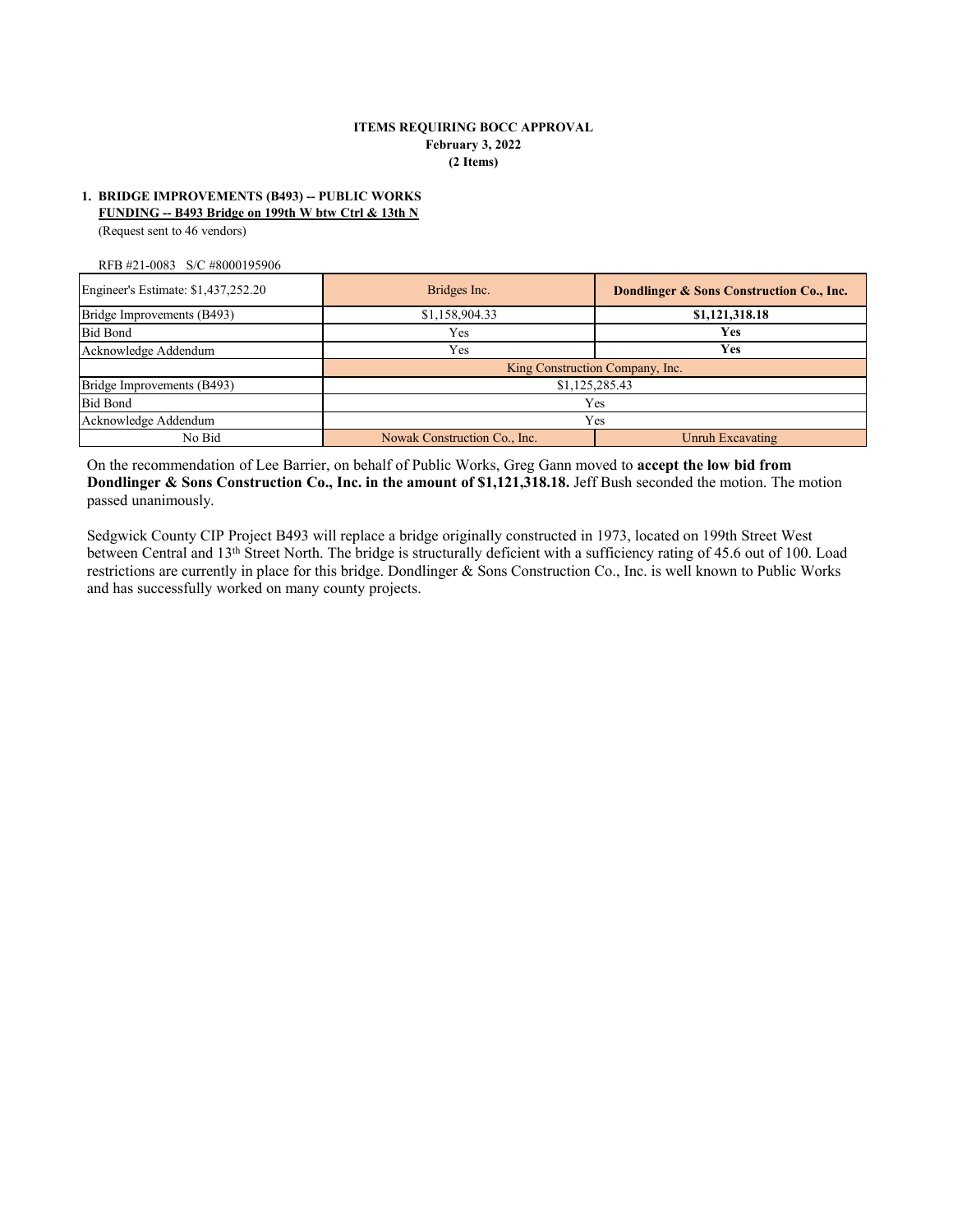## **ITEMS REQUIRING BOCC APPROVAL February 3, 2022 (2 Items)**

#### **FUNDING -- B493 Bridge on 199th W btw Ctrl & 13th N 1. BRIDGE IMPROVEMENTS (B493) -- PUBLIC WORKS**

(Request sent to 46 vendors)

RFB #21-0083 S/C #8000195906

| Engineer's Estimate: \$1,437,252.20 | Bridges Inc.                    | Dondlinger & Sons Construction Co., Inc. |
|-------------------------------------|---------------------------------|------------------------------------------|
| Bridge Improvements (B493)          | \$1,158,904.33                  | \$1,121,318.18                           |
| <b>Bid Bond</b>                     | Yes                             | Yes                                      |
| Acknowledge Addendum                | Yes                             | Yes                                      |
|                                     | King Construction Company, Inc. |                                          |
| Bridge Improvements (B493)          | \$1,125,285.43                  |                                          |
| <b>Bid Bond</b>                     | Yes                             |                                          |
| Acknowledge Addendum                | Yes                             |                                          |
| No Bid                              | Nowak Construction Co., Inc.    | Unruh Excavating                         |

On the recommendation of Lee Barrier, on behalf of Public Works, Greg Gann moved to **accept the low bid from Dondlinger & Sons Construction Co., Inc. in the amount of \$1,121,318.18.** Jeff Bush seconded the motion. The motion passed unanimously.

Sedgwick County CIP Project B493 will replace a bridge originally constructed in 1973, located on 199th Street West between Central and 13th Street North. The bridge is structurally deficient with a sufficiency rating of 45.6 out of 100. Load restrictions are currently in place for this bridge. Dondlinger & Sons Construction Co., Inc. is well known to Public Works and has successfully worked on many county projects.